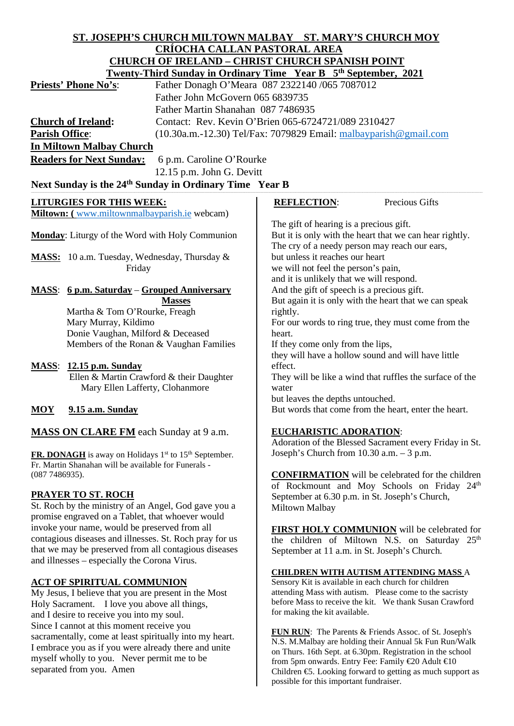# **ST. JOSEPH'S CHURCH MILTOWN MALBAY ST. MARY'S CHURCH MOY CRÍOCHA CALLAN PASTORAL AREA CHURCH OF IRELAND – CHRIST CHURCH SPANISH POINT**

|                                                                                                                                       |                                                                    | <u> CHURCH OF IRELAND – CHRIST CHURCH SPANISH POINT</u>                                                                                             |
|---------------------------------------------------------------------------------------------------------------------------------------|--------------------------------------------------------------------|-----------------------------------------------------------------------------------------------------------------------------------------------------|
|                                                                                                                                       |                                                                    | <b>Twenty-Third Sunday in Ordinary Time Year B 5th September, 2021</b>                                                                              |
| <b>Priests' Phone No's:</b>                                                                                                           |                                                                    | Father Donagh O'Meara 087 2322140 /065 7087012                                                                                                      |
|                                                                                                                                       | Father John McGovern 065 6839735                                   |                                                                                                                                                     |
|                                                                                                                                       | Father Martin Shanahan 087 7486935                                 |                                                                                                                                                     |
| <b>Church of Ireland:</b>                                                                                                             |                                                                    | Contact: Rev. Kevin O'Brien 065-6724721/089 2310427                                                                                                 |
| <b>Parish Office:</b>                                                                                                                 |                                                                    | $(10.30a.m.-12.30)$ Tel/Fax: 7079829 Email: malbayparish @gmail.com                                                                                 |
| <b>In Miltown Malbay Church</b>                                                                                                       |                                                                    |                                                                                                                                                     |
| <b>Readers for Next Sunday:</b>                                                                                                       | 6 p.m. Caroline O'Rourke                                           |                                                                                                                                                     |
|                                                                                                                                       | 12.15 p.m. John G. Devitt                                          |                                                                                                                                                     |
|                                                                                                                                       | Next Sunday is the 24 <sup>th</sup> Sunday in Ordinary Time Year B |                                                                                                                                                     |
| <b>LITURGIES FOR THIS WEEK:</b>                                                                                                       |                                                                    | Precious Gifts<br><b>REFLECTION:</b>                                                                                                                |
| Miltown: (www.miltownmalbayparish.ie webcam)                                                                                          |                                                                    |                                                                                                                                                     |
| Monday: Liturgy of the Word with Holy Communion                                                                                       |                                                                    | The gift of hearing is a precious gift.<br>But it is only with the heart that we can hear rightly.<br>The cry of a needy person may reach our ears, |
| MASS: 10 a.m. Tuesday, Wednesday, Thursday &                                                                                          |                                                                    | but unless it reaches our heart                                                                                                                     |
| Friday                                                                                                                                |                                                                    | we will not feel the person's pain,                                                                                                                 |
|                                                                                                                                       |                                                                    | and it is unlikely that we will respond.                                                                                                            |
| <u> 6 p.m. Saturday – Grouped Anniversary</u><br><b>MASS:</b><br><b>Masses</b>                                                        |                                                                    | And the gift of speech is a precious gift.                                                                                                          |
|                                                                                                                                       |                                                                    | But again it is only with the heart that we can speak                                                                                               |
| Martha & Tom O'Rourke, Freagh                                                                                                         |                                                                    | rightly.                                                                                                                                            |
| Mary Murray, Kildimo                                                                                                                  |                                                                    | For our words to ring true, they must come from the                                                                                                 |
|                                                                                                                                       | Donie Vaughan, Milford & Deceased                                  | heart.                                                                                                                                              |
|                                                                                                                                       | Members of the Ronan & Vaughan Families                            | If they come only from the lips,                                                                                                                    |
|                                                                                                                                       |                                                                    | they will have a hollow sound and will have little<br>effect.                                                                                       |
| 12.15 p.m. Sunday<br><b>MASS:</b>                                                                                                     | Ellen & Martin Crawford & their Daughter                           | They will be like a wind that ruffles the surface of the                                                                                            |
|                                                                                                                                       | Mary Ellen Lafferty, Clohanmore                                    | water                                                                                                                                               |
|                                                                                                                                       |                                                                    | but leaves the depths untouched.                                                                                                                    |
| <b>MOY</b><br><b>9.15 a.m. Sunday</b>                                                                                                 |                                                                    | But words that come from the heart, enter the heart.                                                                                                |
| <b>MASS ON CLARE FM</b> each Sunday at 9 a.m.                                                                                         |                                                                    | <b>EUCHARISTIC ADORATION:</b><br>Adoration of the Blessed Sacrament every Friday in St.                                                             |
| FR. DONAGH is away on Holidays 1 <sup>st</sup> to 15 <sup>th</sup> September.<br>Fr. Martin Shanahan will be available for Funerals - |                                                                    | Joseph's Church from 10.30 a.m. - 3 p.m.                                                                                                            |

**CONFIRMATION** will be celebrated for the children of Rockmount and Moy Schools on Friday 24<sup>th</sup> September at 6.30 p.m. in St. Joseph's Church, Miltown Malbay

**FIRST HOLY COMMUNION** will be celebrated for the children of Miltown N.S. on Saturday 25<sup>th</sup> September at 11 a.m. in St. Joseph's Church.

#### **CHILDREN WITH AUTISM ATTENDING MASS** A

Sensory Kit is available in each church for children attending Mass with autism. Please come to the sacristy before Mass to receive the kit. We thank Susan Crawford for making the kit available.

**FUN RUN**: The Parents & Friends Assoc. of St. Joseph's N.S. M.Malbay are holding their Annual 5k Fun Run/Walk on Thurs. 16th Sept. at 6.30pm. Registration in the school from 5pm onwards. Entry Fee: Family €20 Adult €10 Children €5. Looking forward to getting as much support as possible for this important fundraiser.

# **ACT OF SPIRITUAL COMMUNION**

and illnesses – especially the Corona Virus.

(087 7486935).

**PRAYER TO ST. ROCH**

My Jesus, I believe that you are present in the Most Holy Sacrament. I love you above all things, and I desire to receive you into my soul. Since I cannot at this moment receive you sacramentally, come at least spiritually into my heart. I embrace you as if you were already there and unite myself wholly to you. Never permit me to be separated from you. Amen

St. Roch by the ministry of an Angel, God gave you a promise engraved on a Tablet, that whoever would invoke your name, would be preserved from all contagious diseases and illnesses. St. Roch pray for us that we may be preserved from all contagious diseases